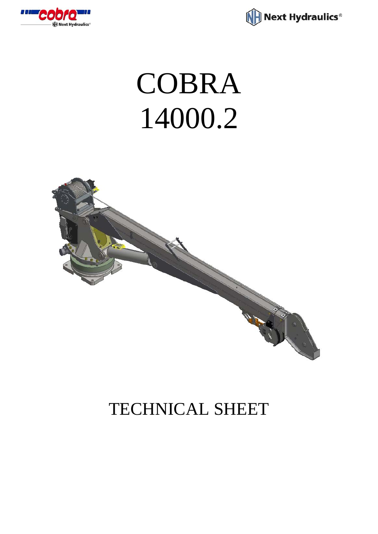



## COBRA 14000.2



## TECHNICAL SHEET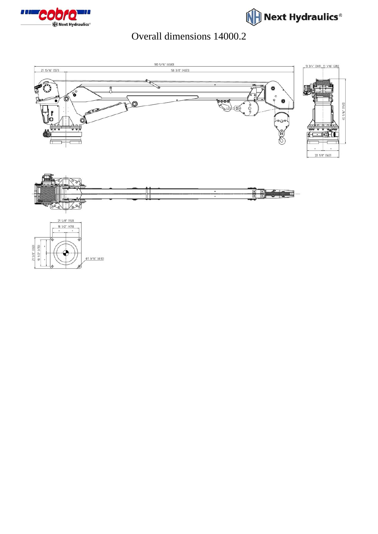



## Overall dimensions 14000.2

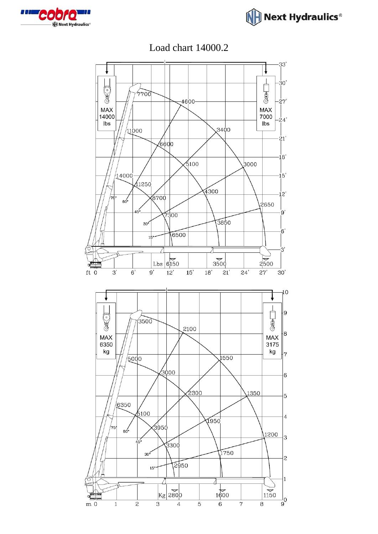



Load chart 14000.2